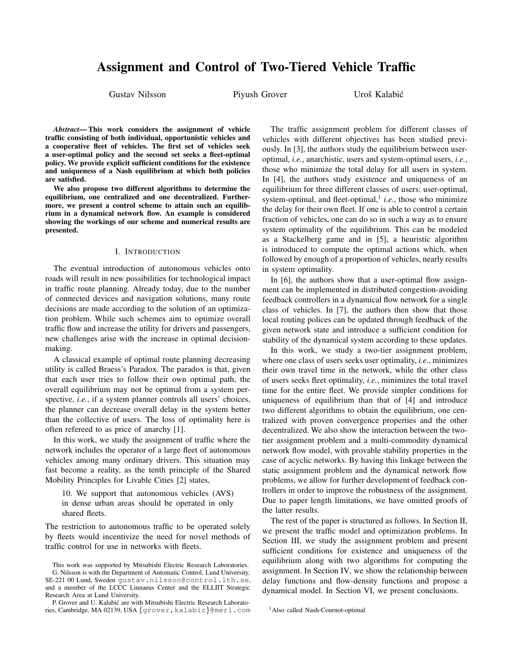# **Assignment and Control of Two-Tiered Vehicle Traffic**

**Gustav Nilsson** 

Piyush Grover

Uroš Kalabić

Abstract-This work considers the assignment of vehicle traffic consisting of both individual, opportunistic vehicles and a cooperative fleet of vehicles. The first set of vehicles seek a user-optimal policy and the second set seeks a fleet-optimal policy. We provide explicit sufficient conditions for the existence and uniqueness of a Nash equilibrium at which both policies are satisfied.

We also propose two different algorithms to determine the equilibrium, one centralized and one decentralized. Furthermore, we present a control scheme to attain such an equilibrium in a dynamical network flow. An example is considered showing the workings of our scheme and numerical results are presented.

#### **I. INTRODUCTION**

The eventual introduction of autonomous vehicles onto roads will result in new possibilities for technological impact in traffic route planning. Already today, due to the number of connected devices and navigation solutions, many route decisions are made according to the solution of an optimization problem. While such schemes aim to optimize overall traffic flow and increase the utility for drivers and passengers, new challenges arise with the increase in optimal decisionmaking.

A classical example of optimal route planning decreasing utility is called Braess's Paradox. The paradox is that, given that each user tries to follow their own optimal path, the overall equilibrium may not be optimal from a system perspective, *i.e.*, if a system planner controls all users' choices, the planner can decrease overall delay in the system better than the collective of users. The loss of optimality here is often refereed to as price of anarchy [1].

In this work, we study the assignment of traffic where the network includes the operator of a large fleet of autonomous vehicles among many ordinary drivers. This situation may fast become a reality, as the tenth principle of the Shared Mobility Principles for Livable Cities [2] states,

10. We support that autonomous vehicles (AVS) in dense urban areas should be operated in only shared fleets.

The restriction to autonomous traffic to be operated solely by fleets would incentivize the need for novel methods of traffic control for use in networks with fleets.

The traffic assignment problem for different classes of vehicles with different objectives has been studied previously. In [3], the authors study the equilibrium between useroptimal, *i.e.*, anarchistic, users and system-optimal users, *i.e.*, those who minimize the total delay for all users in system. In [4], the authors study existence and uniqueness of an equilibrium for three different classes of users: user-optimal, system-optimal, and fleet-optimal,  $\lambda$  *i.e.*, those who minimize the delay for their own fleet. If one is able to control a certain fraction of vehicles, one can do so in such a way as to ensure system optimality of the equilibrium. This can be modeled as a Stackelberg game and in [5], a heuristic algorithm is introduced to compute the optimal actions which, when followed by enough of a proportion of vehicles, nearly results in system optimality.

In [6], the authors show that a user-optimal flow assignment can be implemented in distributed congestion-avoiding feedback controllers in a dynamical flow network for a single class of vehicles. In [7], the authors then show that those local routing polices can be updated through feedback of the given network state and introduce a sufficient condition for stability of the dynamical system according to these updates.

In this work, we study a two-tier assignment problem, where one class of users seeks user optimality, *i.e.*, minimizes their own travel time in the network, while the other class of users seeks fleet optimality, *i.e.*, minimizes the total travel time for the entire fleet. We provide simpler conditions for uniqueness of equilibrium than that of [4] and introduce two different algorithms to obtain the equilibrium, one centralized with proven convergence properties and the other decentralized. We also show the interaction between the twotier assignment problem and a multi-commodity dynamical network flow model, with provable stability properties in the case of acyclic networks. By having this linkage between the static assignment problem and the dynamical network flow problems, we allow for further development of feedback controllers in order to improve the robustness of the assignment. Due to paper length limitations, we have omitted proofs of the latter results.

The rest of the paper is structured as follows. In Section II, we present the traffic model and optimization problems. In Section III, we study the assignment problem and present sufficient conditions for existence and uniqueness of the equilibrium along with two algorithms for computing the assignment. In Section IV, we show the relationship between delay functions and flow-density functions and propose a dynamical model. In Section VI, we present conclusions.

This work was supported by Mitsubishi Electric Research Laboratories. G. Nilsson is with the Department of Automatic Control, Lund University, SE-221 00 Lund, Sweden gustav.nilsson@control.lth.se, and a member of the LCCC Linnaeus Center and the ELLIIT Strategic Research Area at Lund University.

P. Grover and U. Kalabić are with Mitsubishi Electric Research Laboratories, Cambridge, MA 02139, USA {grover, kalabic}@merl.com

<sup>&</sup>lt;sup>1</sup>Also called Nash-Cournot-optimal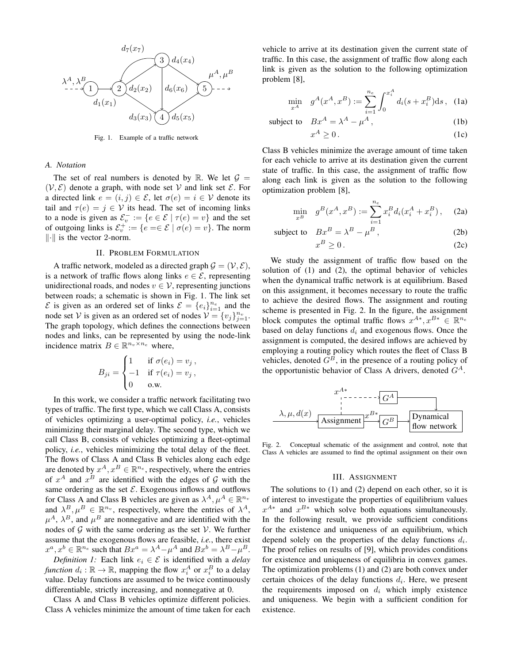

Fig. 1. Example of a traffic network

## A. Notation

The set of real numbers is denoted by R. We let  $\mathcal{G}$  =  $(V, \mathcal{E})$  denote a graph, with node set V and link set  $\mathcal{E}$ . For a directed link  $e = (i, j) \in \mathcal{E}$ , let  $\sigma(e) = i \in \mathcal{V}$  denote its tail and  $\tau(e) = j \in V$  its head. The set of incoming links to a node is given as  $\mathcal{E}_v^- := \{ e \in \mathcal{E} \mid \tau(e) = v \}$  and the set of outgoing links is  $\mathcal{E}_v^+ := \{e = \in \mathcal{E} \mid \sigma(e) = v\}$ . The norm  $\|\cdot\|$  is the vector 2-norm.

#### **II. PROBLEM FORMULATION**

A traffic network, modeled as a directed graph  $\mathcal{G} = (\mathcal{V}, \mathcal{E})$ , is a network of traffic flows along links  $e \in \mathcal{E}$ , representing unidirectional roads, and nodes  $v \in V$ , representing junctions between roads; a schematic is shown in Fig. 1. The link set  $\mathcal E$  is given as an ordered set of links  $\mathcal E = \{e_i\}_{i=1}^{n_e}$  and the node set V is given as an ordered set of nodes  $V = \{v_j\}_{j=1}^{n_v}$ . The graph topology, which defines the connections between nodes and links, can be represented by using the node-link incidence matrix  $B \in \mathbb{R}^{n_v \times n_e}$  where,

$$
B_{ji} = \begin{cases} 1 & \text{if } \sigma(e_i) = v_j, \\ -1 & \text{if } \tau(e_i) = v_j, \\ 0 & \text{o.w.} \end{cases}
$$

In this work, we consider a traffic network facilitating two types of traffic. The first type, which we call Class A, consists of vehicles optimizing a user-optimal policy, *i.e.*, vehicles minimizing their marginal delay. The second type, which we call Class B, consists of vehicles optimizing a fleet-optimal policy, *i.e.*, vehicles minimizing the total delay of the fleet. The flows of Class A and Class B vehicles along each edge are denoted by  $x^A, x^B \in \mathbb{R}^{n_e}$ , respectively, where the entries of  $x^A$  and  $x^B$  are identified with the edges of G with the same ordering as the set  $\mathcal E$ . Exogenous inflows and outflows for Class A and Class B vehicles are given as  $\lambda^A, \mu^A \in \mathbb{R}^{n_v}$ and  $\lambda^B, \mu^B \in \mathbb{R}^{n_v}$ , respectively, where the entries of  $\lambda^A$ ,  $\mu^A, \lambda^B$ , and  $\mu^B$  are nonnegative and are identified with the nodes of  $G$  with the same ordering as the set  $V$ . We further assume that the exogenous flows are feasible, *i.e.*, there exist  $x^a, x^b \in \mathbb{R}^{n_e}$  such that  $Bx^a = \lambda^A - \mu^A$  and  $Bx^b = \lambda^B - \mu^B$ .

Definition 1: Each link  $e_i \in \mathcal{E}$  is identified with a *delay function*  $d_i : \mathbb{R} \to \mathbb{R}$ , mapping the flow  $x_i^A$  or  $x_i^B$  to a delay value. Delay functions are assumed to be twice continuously differentiable, strictly increasing, and nonnegative at 0.

Class A and Class B vehicles optimize different policies. Class A vehicles minimize the amount of time taken for each vehicle to arrive at its destination given the current state of traffic. In this case, the assignment of traffic flow along each link is given as the solution to the following optimization problem  $[8]$ ,

$$
\min_{x^A} g^A(x^A, x^B) := \sum_{i=1}^{n_e} \int_0^{x_i^A} d_i(s + x_i^B) \mathrm{d}s \,, \tag{1a}
$$

$$
e^{i\theta} \cos \theta \, dx^A = \lambda^A - \mu^A \,, \tag{1b}
$$

suł

$$
x^A \ge 0. \tag{1c}
$$

Class B vehicles minimize the average amount of time taken for each vehicle to arrive at its destination given the current state of traffic. In this case, the assignment of traffic flow along each link is given as the solution to the following optimization problem [8],

$$
\min_{x^B} g^B(x^A, x^B) := \sum_{i=1}^{n_e} x_i^B d_i (x_i^A + x_i^B), \quad \text{(2a)}
$$

subject to 
$$
Bx^B = \lambda^B - \mu^B
$$
, (2b)

$$
x^D \ge 0. \tag{2c}
$$

We study the assignment of traffic flow based on the solution of (1) and (2), the optimal behavior of vehicles when the dynamical traffic network is at equilibrium. Based on this assignment, it becomes necessary to route the traffic to achieve the desired flows. The assignment and routing scheme is presented in Fig. 2. In the figure, the assignment block computes the optimal traffic flows  $x^{A*}, x^{B*} \in \mathbb{R}^{n_e}$ based on delay functions  $d_i$  and exogenous flows. Once the assignment is computed, the desired inflows are achieved by employing a routing policy which routes the fleet of Class B vehicles, denoted  $G^B$ , in the presence of a routing policy of the opportunistic behavior of Class A drivers, denoted  $G<sup>A</sup>$ .



Fig. 2. Conceptual schematic of the assignment and control, note that Class A vehicles are assumed to find the optimal assignment on their own

#### **III. ASSIGNMENT**

The solutions to  $(1)$  and  $(2)$  depend on each other, so it is of interest to investigate the properties of equilibrium values  $x^{A*}$  and  $x^{B*}$  which solve both equations simultaneously. In the following result, we provide sufficient conditions for the existence and uniqueness of an equilibrium, which depend solely on the properties of the delay functions  $d_i$ . The proof relies on results of [9], which provides conditions for existence and uniqueness of equilibria in convex games. The optimization problems  $(1)$  and  $(2)$  are both convex under certain choices of the delay functions  $d_i$ . Here, we present the requirements imposed on  $d_i$  which imply existence and uniqueness. We begin with a sufficient condition for existence.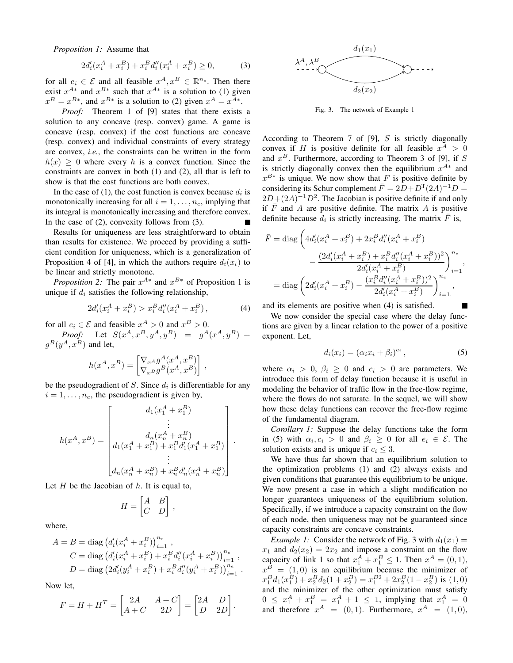Proposition 1: Assume that

$$
2d_i'(x_i^A + x_i^B) + x_i^B d_i''(x_i^A + x_i^B) \ge 0,
$$
\n(3)

for all  $e_i \in \mathcal{E}$  and all feasible  $x^A, x^B \in \mathbb{R}^{n_e}$ . Then there exist  $x^{A*}$  and  $x^{B*}$  such that  $x^{A*}$  is a solution to (1) given  $x^B = x^{B*}$ , and  $x^{B*}$  is a solution to (2) given  $x^A = x^{A*}$ .

*Proof:* Theorem 1 of [9] states that there exists a solution to any concave (resp. convex) game. A game is concave (resp. convex) if the cost functions are concave (resp. convex) and individual constraints of every strategy are convex, *i.e.*, the constraints can be written in the form  $h(x) \geq 0$  where every h is a convex function. Since the constraints are convex in both  $(1)$  and  $(2)$ , all that is left to show is that the cost functions are both convex.

In the case of (1), the cost function is convex because  $d_i$  is monotonically increasing for all  $i = 1, \ldots, n_e$ , implying that its integral is monotonically increasing and therefore convex. In the case of  $(2)$ , convexity follows from  $(3)$ .

Results for uniqueness are less straightforward to obtain than results for existence. We proceed by providing a sufficient condition for uniqueness, which is a generalization of Proposition 4 of [4], in which the authors require  $d_i(x_i)$  to be linear and strictly monotone.

*Proposition 2:* The pair  $x^{A*}$  and  $x^{B*}$  of Proposition 1 is unique if  $d_i$  satisfies the following relationship,

$$
2d_i'(x_i^A + x_i^B) > x_i^B d_i''(x_i^A + x_i^B), \tag{4}
$$

for all  $e_i \in \mathcal{E}$  and feasible  $x^A > 0$  and  $x^B > 0$ .

*Proof:* Let  $S(x^A, x^B, y^A, y^B) = g^A(x^A, y^B)$  +  $q^B(y^A, x^B)$  and let,

$$
h(x^A, x^B) = \begin{bmatrix} \nabla_{x^A} g^A(x^A, x^B) \\ \nabla_{x^B} g^B(x^A, x^B) \end{bmatrix},
$$

be the pseudogradient of S. Since  $d_i$  is differentiable for any  $i = 1, \ldots, n_e$ , the pseudogradient is given by,

$$
h(x^{A}, x^{B}) = \begin{bmatrix} d_{1}(x_{1}^{A} + x_{1}^{B}) \\ \vdots \\ d_{n}(x_{n}^{A} + x_{n}^{B}) \\ d_{1}(x_{1}^{A} + x_{1}^{B}) + x_{1}^{B}d_{1}'(x_{1}^{A} + x_{1}^{B}) \\ \vdots \\ d_{n}(x_{n}^{A} + x_{n}^{B}) + x_{n}^{B}d_{n}'(x_{n}^{A} + x_{n}^{B}) \end{bmatrix}
$$

Let  $H$  be the Jacobian of  $h$ . It is equal to,

$$
H = \begin{bmatrix} A & B \\ C & D \end{bmatrix},
$$

where,

$$
A = B = \text{diag} (d'_i (x_i^A + x_i^B))_{i=1}^{n_e},
$$
  
\n
$$
C = \text{diag} (d'_i (x_i^A + x_i^B) + x_i^B d''_i (x_i^A + x_i^B))_{i=1}^{n_e},
$$
  
\n
$$
D = \text{diag} (2d'_i (y_i^A + x_i^B) + x_i^B d''_i (y_i^A + x_i^B))_{i=1}^{n_e}.
$$

Now let,

$$
F = H + H^{T} = \begin{bmatrix} 2A & A+C \\ A+C & 2D \end{bmatrix} = \begin{bmatrix} 2A & D \\ D & 2D \end{bmatrix}
$$



Fig. 3. The network of Example 1

According to Theorem 7 of  $[9]$ , S is strictly diagonally convex if H is positive definite for all feasible  $x^A > 0$ and  $x^B$ . Furthermore, according to Theorem 3 of [9], if S is strictly diagonally convex then the equilibrium  $x^{A*}$  and  $x^{B*}$  is unique. We now show that F is positive definite by considering its Schur complement  $\overline{F} = 2D + D^{T}(2A)^{-1}D =$  $2D+(2A)^{-1}D^2$ . The Jacobian is positive definite if and only if  $\overline{F}$  and A are positive definite. The matrix A is positive definite because  $d_i$  is strictly increasing. The matrix  $\overline{F}$  is,

$$
\bar{F} = \text{diag}\left(4d_i'(x_i^A + x_i^B) + 2x_i^B d_i''(x_i^A + x_i^B) - \frac{(2d_i'(x_i^A + x_i^B) + x_i^B d_i''(x_i^A + x_i^B))^2}{2d_i'(x_i^A + x_i^B)}\right)_{i=1}^{n_e},
$$

$$
= \text{diag}\left(2d_i'(x_i^A + x_i^B) - \frac{(x_i^B d_i''(x_i^A + x_i^B))^2}{2d_i'(x_i^A + x_i^B)}\right)_{i=1}^{n_e},
$$

and its elements are positive when (4) is satisfied.

We now consider the special case where the delay functions are given by a linear relation to the power of a positive exponent. Let,

$$
d_i(x_i) = (\alpha_i x_i + \beta_i)^{c_i}, \qquad (5)
$$

where  $\alpha_i > 0$ ,  $\beta_i \geq 0$  and  $c_i > 0$  are parameters. We introduce this form of delay function because it is useful in modeling the behavior of traffic flow in the free-flow regime, where the flows do not saturate. In the sequel, we will show how these delay functions can recover the free-flow regime of the fundamental diagram.

Corollary 1: Suppose the delay functions take the form in (5) with  $\alpha_i, c_i > 0$  and  $\beta_i \geq 0$  for all  $e_i \in \mathcal{E}$ . The solution exists and is unique if  $c_i \leq 3$ .

We have thus far shown that an equilibrium solution to the optimization problems (1) and (2) always exists and given conditions that guarantee this equilibrium to be unique. We now present a case in which a slight modification no longer guarantees uniqueness of the equilibrium solution. Specifically, if we introduce a capacity constraint on the flow of each node, then uniqueness may not be guaranteed since capacity constraints are concave constraints.

*Example 1:* Consider the network of Fig. 3 with  $d_1(x_1) =$  $x_1$  and  $d_2(x_2) = 2x_2$  and impose a constraint on the flow capacity of link 1 so that  $x_1^A + x_1^B \le 1$ . Then  $x^A = (0, 1)$ ,  $x^B = (1,0)$  is an equilibrium because the minimizer of  $x_1^B d_1(x_1^B) + x_2^B d_2(1+x_2^B) = x_1^{B2} + 2x_2^B(1-x_2^B)$  is  $(1,0)$ and the minimizer of the other optimization must satisfy  $0 \le x_1^A + x_1^B = x_1^A + 1 \le 1$ , implying that  $x_1^A = 0$ <br>and therefore  $x^A = (0,1)$ . Furthermore,  $x^A = (1,0)$ ,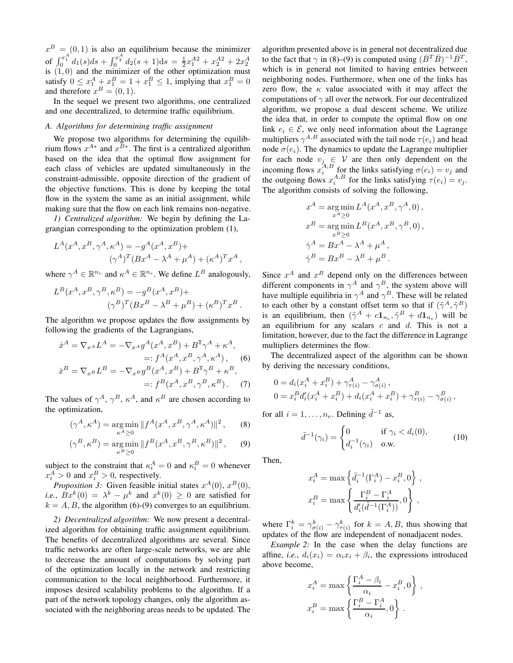$x^B = (0, 1)$  is also an equilibrium because the minimizer of  $\int_0^{x_1^A} d_1(s)ds + \int_0^{x_2^A} d_2(s+1)ds = \frac{1}{2}x_1^{A2} + x_2^{A2} + 2x_2^A$ <br>is (1,0) and the minimizer of the other optimization must satisfy  $0 \le x_1^A + x_1^B = 1 + x_1^B \le 1$ , implying that  $x_1^B = 0$ and therefore  $x^B = (0, 1)$ .

In the sequel we present two algorithms, one centralized and one decentralized, to determine traffic equilibrium.

## A. Algorithms for determining traffic assignment

We propose two algorithms for determining the equilibrium flows  $x^{A*}$  and  $x^{\overline{B}*}$ . The first is a centralized algorithm based on the idea that the optimal flow assignment for each class of vehicles are updated simultaneously in the constraint-admissible, opposite direction of the gradient of the objective functions. This is done by keeping the total flow in the system the same as an initial assignment, while making sure that the flow on each link remains non-negative.

1) Centralized algorithm: We begin by defining the Lagrangian corresponding to the optimization problem (1),

$$
L^{A}(x^{A}, x^{B}, \gamma^{A}, \kappa^{A}) = -g^{A}(x^{A}, x^{B}) +
$$

$$
(\gamma^{A})^{T}(Bx^{A} - \lambda^{A} + \mu^{A}) + (\kappa^{A})^{T}x^{A},
$$

where  $\gamma^A \in \mathbb{R}^{n_v}$  and  $\kappa^A \in \mathbb{R}^{n_e}$ . We define  $L^B$  analogously,

$$
L^{B}(x^{A}, x^{B}, \gamma^{B}, \kappa^{B}) = -g^{B}(x^{A}, x^{B}) +
$$

$$
(\gamma^{B})^{T}(Bx^{B} - \lambda^{B} + \mu^{B}) + (\kappa^{B})^{T}x^{B}.
$$

The algorithm we propose updates the flow assignments by following the gradients of the Lagrangians,

$$
\dot{x}^{A} = \nabla_{x^{A}} L^{A} = -\nabla_{x^{A}} g^{A}(x^{A}, x^{B}) + B^{T} \gamma^{A} + \kappa^{A},
$$
  
\n
$$
=: f^{A}(x^{A}, x^{B}, \gamma^{A}, \kappa^{A}),
$$
(6)  
\n
$$
\dot{x}^{B} = \nabla_{x^{B}} L^{B} = -\nabla_{x^{B}} g^{B}(x^{A}, x^{B}) + B^{T} \gamma^{B} + \kappa^{B},
$$
  
\n
$$
=: f^{B}(x^{A}, x^{B}, \gamma^{B}, \kappa^{B}).
$$
(7)

The values of  $\gamma^A$ ,  $\gamma^B$ ,  $\kappa^A$ , and  $\kappa^B$  are chosen according to the optimization,

$$
(\gamma^A, \kappa^A) = \underset{\kappa^A > 0}{\text{arg min}} \, \| f^A(x^A, x^B, \gamma^A, \kappa^A) \|^2 \,, \qquad (8)
$$

$$
(\gamma^B, \kappa^B) = \underset{\kappa^B \ge 0}{\arg \min} \| f^B(x^A, x^B, \gamma^B, \kappa^B) \|^2, \qquad (9)
$$

subject to the constraint that  $\kappa_i^A = 0$  and  $\kappa_i^B = 0$  whenever  $x_i^A > 0$  and  $x_i^B > 0$ , respectively.

*Proposition 3:* Given feasible initial states  $x^A(0)$ ,  $x^B(0)$ , *i.e.*,  $Bx^k(0) = \lambda^k - \mu^k$  and  $x^k(0) \geq 0$  are satisfied for  $k = A, B$ , the algorithm (6)-(9) converges to an equilibrium.

2) Decentralized algorithm: We now present a decentralized algorithm for obtaining traffic assignment equilibrium. The benefits of decentralized algorithms are several. Since traffic networks are often large-scale networks, we are able to decrease the amount of computations by solving part of the optimization locally in the network and restricting communication to the local neighborhood. Furthermore, it imposes desired scalability problems to the algorithm. If a part of the network topology changes, only the algorithm associated with the neighboring areas needs to be updated. The

algorithm presented above is in general not decentralized due to the fact that  $\gamma$  in (8)–(9) is computed using  $(\bar{B}^T \bar{B})^{-1} \bar{B}^T$ , which is in general not limited to having entries between neighboring nodes. Furthermore, when one of the links has zero flow, the  $\kappa$  value associated with it may affect the computations of  $\gamma$  all over the network. For our decentralized algorithm, we propose a dual descent scheme. We utilize the idea that, in order to compute the optimal flow on one link  $e_i \in \mathcal{E}$ , we only need information about the Lagrange multipliers  $\gamma^{A,B}$  associated with the tail node  $\tau(e_i)$  and head node  $\sigma(e_i)$ . The dynamics to update the Lagrange multiplier for each node  $v_j \in V$  are then only dependent on the incoming flows  $x_i^{A,B}$  for the links satisfying  $\sigma(e_i) = v_j$  and the outgoing flows  $x_i^{A,B}$  for the links satisfying  $\tau(e_i) = v_i$ . The algorithm consists of solving the following,

$$
x^{A} = \underset{x^{A} \geq 0}{\arg \min} L^{A}(x^{A}, x^{B}, \gamma^{A}, 0),
$$
  
\n
$$
x^{B} = \underset{x^{B} \geq 0}{\arg \min} L^{B}(x^{A}, x^{B}, \gamma^{B}, 0),
$$
  
\n
$$
\dot{\gamma}^{A} = Bx^{A} - \lambda^{A} + \mu^{A},
$$
  
\n
$$
\dot{\gamma}^{B} = Bx^{B} - \lambda^{B} + \mu^{B}.
$$

Since  $x^A$  and  $x^B$  depend only on the differences between different components in  $\gamma^A$  and  $\gamma^B$ , the system above will have multiple equilibria in  $\gamma^A$  and  $\gamma^B$ . These will be related to each other by a constant offset term so that if  $(\tilde{\gamma}^A, \tilde{\gamma}^B)$ is an equilibrium, then  $({\tilde{\gamma}}^A + c{\bf 1}_{n_e}, {\tilde{\gamma}}^B + d{\bf 1}_{n_e})$  will be an equilibrium for any scalars  $c$  and  $d$ . This is not a limitation, however, due to the fact the difference in Lagrange multipliers determines the flow.

The decentralized aspect of the algorithm can be shown by deriving the necessary conditions,

$$
0 = d_i(x_i^A + x_i^B) + \gamma_{\tau(i)}^A - \gamma_{\sigma(i)}^A,
$$
  
\n
$$
0 = x_i^B d_i'(x_i^A + x_i^B) + d_i(x_i^A + x_i^B) + \gamma_{\tau(i)}^B - \gamma_{\sigma(i)}^B,
$$

for all  $i = 1, ..., n_e$ . Defining  $\tilde{d}^{-1}$  as,

$$
\tilde{d}^{-1}(\gamma_i) = \begin{cases} 0 & \text{if } \gamma_i < d_i(0), \\ d_i^{-1}(\gamma_i) & \text{o.w.} \end{cases}
$$
 (10)

Then.

$$
\begin{split} x_i^A&=\max\left\{\tilde{d}_i^{-1}(\Gamma_i^A)-x_i^B,0\right\}\,,\\ x_i^B&=\max\left\{\frac{\Gamma_i^B-\Gamma_i^A}{d_i'(\tilde{d}^{-1}(\Gamma_i^A))},0\right\}\,, \end{split}
$$

where  $\Gamma_i^k = \gamma_{\sigma(i)}^k - \gamma_{\tau(i)}^k$  for  $k = A, B$ , thus showing that updates of the flow are independent of nonadjacent nodes.

*Example 2:* In the case when the delay functions are affine, *i.e.*,  $d_i(x_i) = \alpha_i x_i + \beta_i$ , the expressions introduced above become,

$$
x_i^A = \max \left\{ \frac{\Gamma_i^A - \beta_i}{\alpha_i} - x_i^B, 0 \right\},
$$
  

$$
x_i^B = \max \left\{ \frac{\Gamma_i^B - \Gamma_i^A}{\alpha_i}, 0 \right\}.
$$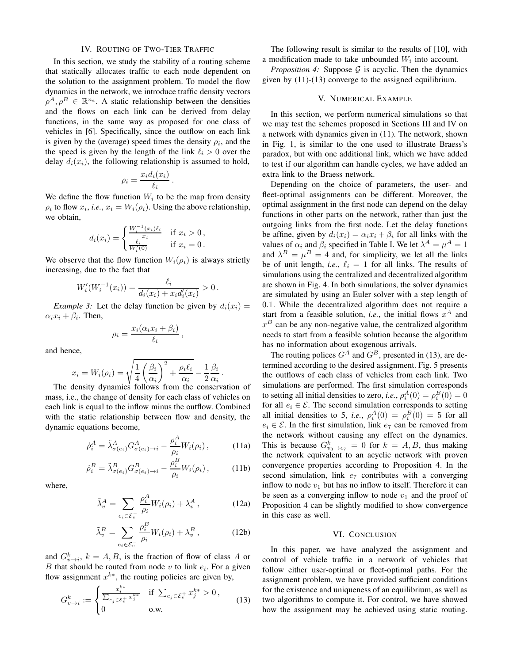## IV. ROUTING OF TWO-TIER TRAFFIC

In this section, we study the stability of a routing scheme that statically allocates traffic to each node dependent on the solution to the assignment problem. To model the flow dynamics in the network, we introduce traffic density vectors  $\rho^A, \rho^B \in \mathbb{R}^{n_e}$ . A static relationship between the densities and the flows on each link can be derived from delay functions, in the same way as proposed for one class of vehicles in [6]. Specifically, since the outflow on each link is given by the (average) speed times the density  $\rho_i$ , and the the speed is given by the length of the link  $\ell_i > 0$  over the delay  $d_i(x_i)$ , the following relationship is assumed to hold,

$$
\rho_i = \frac{x_i d_i(x_i)}{\ell_i}.
$$

We define the flow function  $W_i$  to be the map from density  $\rho_i$  to flow  $x_i$ , *i.e.*,  $x_i = W_i(\rho_i)$ . Using the above relationship, we obtain,

$$
d_i(x_i) = \begin{cases} \frac{W_i^{-1}(x_i)\ell_i}{x_i} & \text{if } x_i > 0, \\ \frac{\ell_i}{W_i'(0)} & \text{if } x_i = 0. \end{cases}
$$

We observe that the flow function  $W_i(\rho_i)$  is always strictly increasing, due to the fact that

$$
W'_{i}(W_{i}^{-1}(x_{i})) = \frac{\ell_{i}}{d_{i}(x_{i}) + x_{i}d'_{i}(x_{i})} > 0
$$

*Example 3:* Let the delay function be given by  $d_i(x_i) =$  $\alpha_i x_i + \beta_i$ . Then,

$$
\rho_i = \frac{x_i(\alpha_i x_i + \beta_i)}{\ell_i}
$$

and hence,

$$
x_i = W_i(\rho_i) = \sqrt{\frac{1}{4} \left(\frac{\beta_i}{\alpha_i}\right)^2 + \frac{\rho_i \ell_i}{\alpha_i}} - \frac{1}{2} \frac{\beta_i}{\alpha_i}
$$

The density dynamics follows from the conservation of mass, i.e., the change of density for each class of vehicles on each link is equal to the inflow minus the outflow. Combined with the static relationship between flow and density, the dynamic equations become,

$$
\dot{\rho}_i^A = \tilde{\lambda}_{\sigma(e_i)}^A G_{\sigma(e_i)\to i}^A - \frac{\rho_i^A}{\rho_i} W_i(\rho_i), \quad (11a)
$$

$$
\dot{\rho}_i^B = \tilde{\lambda}_{\sigma(e_i)}^B G_{\sigma(e_i)\to i}^B - \frac{\rho_i^B}{\rho_i} W_i(\rho_i), \quad (11b)
$$

where,

$$
\tilde{\lambda}_v^A = \sum_{e_i \in \mathcal{E}_v^-} \frac{\rho_i^A}{\rho_i} W_i(\rho_i) + \lambda_v^A, \tag{12a}
$$

$$
\tilde{\lambda}_v^B = \sum_{e_i \in \mathcal{E}_v^-} \frac{\rho_i^B}{\rho_i} W_i(\rho_i) + \lambda_v^B , \qquad (12b)
$$

and  $G_{n\to i}^k$ ,  $k = A, B$ , is the fraction of flow of class A or B that should be routed from node  $v$  to link  $e_i$ . For a given flow assignment  $x^{k*}$ , the routing policies are given by,

$$
G_{v \to i}^k := \begin{cases} \frac{x_i^{k*}}{\sum_{e_j \in \mathcal{E}_v^+} x_j^{k*}} & \text{if } \sum_{e_j \in \mathcal{E}_v^+} x_j^{k*} > 0, \\ 0 & \text{o.w.} \end{cases} \tag{13}
$$

The following result is similar to the results of [10], with a modification made to take unbounded  $W_i$  into account.

*Proposition 4:* Suppose  $G$  is acyclic. Then the dynamics given by  $(11)-(13)$  converge to the assigned equilibrium.

## V. NUMERICAL EXAMPLE

In this section, we perform numerical simulations so that we may test the schemes proposed in Sections III and IV on a network with dynamics given in  $(11)$ . The network, shown in Fig. 1, is similar to the one used to illustrate Braess's paradox, but with one additional link, which we have added to test if our algorithm can handle cycles, we have added an extra link to the Braess network.

Depending on the choice of parameters, the user- and fleet-optimal assignments can be different. Moreover, the optimal assignment in the first node can depend on the delay functions in other parts on the network, rather than just the outgoing links from the first node. Let the delay functions be affine, given by  $d_i(x_i) = \alpha_i x_i + \beta_i$  for all links with the values of  $\alpha_i$  and  $\beta_i$  specified in Table I. We let  $\lambda^A = \mu^A = 1$ and  $\lambda^B = \mu^B = 4$  and, for simplicity, we let all the links be of unit length, *i.e.*,  $\ell_i = 1$  for all links. The results of simulations using the centralized and decentralized algorithm are shown in Fig. 4. In both simulations, the solver dynamics are simulated by using an Euler solver with a step length of 0.1. While the decentralized algorithm does not require a start from a feasible solution, *i.e.*, the initial flows  $x^A$  and  $x^B$  can be any non-negative value, the centralized algorithm needs to start from a feasible solution because the algorithm has no information about exogenous arrivals.

The routing polices  $G^A$  and  $G^B$ , presented in (13), are determined according to the desired assignment. Fig. 5 presents the outflows of each class of vehicles from each link. Two simulations are performed. The first simulation corresponds to setting all initial densities to zero, *i.e.*,  $\rho_i^A(0) = \rho_i^B(0) = 0$ for all  $e_i \in \mathcal{E}$ . The second simulation corresponds to setting all initial densities to 5, *i.e.*,  $\rho_i^A(0) = \rho_i^B(0) = 5$  for all  $e_i \in \mathcal{E}$ . In the first simulation, link  $e_7$  can be removed from the network without causing any effect on the dynamics. This is because  $G_{v_3 \to e_7}^k = 0$  for  $k = A, B$ , thus making the network equivalent to an acyclic network with proven convergence properties according to Proposition 4. In the second simulation, link  $e_7$  contributes with a converging inflow to node  $v_1$  but has no inflow to itself. Therefore it can be seen as a converging inflow to node  $v_1$  and the proof of Proposition 4 can be slightly modified to show convergence in this case as well.

## VI. CONCLUSION

In this paper, we have analyzed the assignment and control of vehicle traffic in a network of vehicles that follow either user-optimal or fleet-optimal paths. For the assignment problem, we have provided sufficient conditions for the existence and uniqueness of an equilibrium, as well as two algorithms to compute it. For control, we have showed how the assignment may be achieved using static routing.